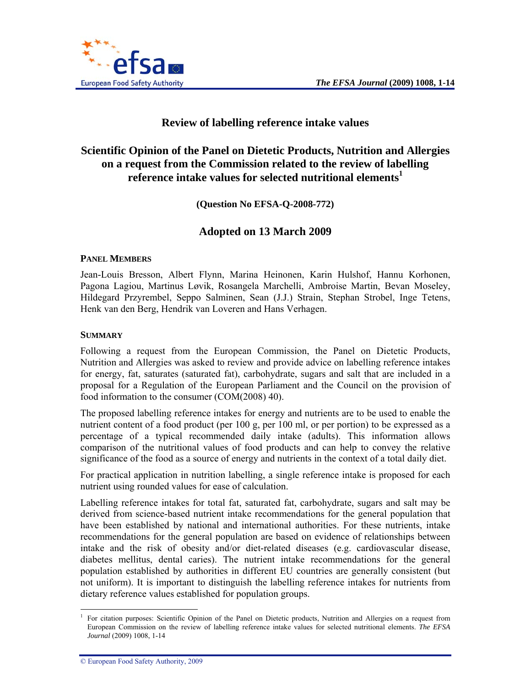

# **Review of labelling reference intake values**

# **Scientific Opinion of the Panel on Dietetic Products, Nutrition and Allergies on a request from the Commission related to the review of labelling reference intake values for selected nutritional elements<sup>1</sup>**

**(Question No EFSA-Q-2008-772)** 

# **Adopted on 13 March 2009**

#### **PANEL MEMBERS**

Jean-Louis Bresson, Albert Flynn, Marina Heinonen, Karin Hulshof, Hannu Korhonen, Pagona Lagiou, Martinus Løvik, Rosangela Marchelli, Ambroise Martin, Bevan Moseley, Hildegard Przyrembel, Seppo Salminen, Sean (J.J.) Strain, Stephan Strobel, Inge Tetens, Henk van den Berg, Hendrik van Loveren and Hans Verhagen.

#### **SUMMARY**

Following a request from the European Commission, the Panel on Dietetic Products, Nutrition and Allergies was asked to review and provide advice on labelling reference intakes for energy, fat, saturates (saturated fat), carbohydrate, sugars and salt that are included in a proposal for a Regulation of the European Parliament and the Council on the provision of food information to the consumer (COM(2008) 40).

The proposed labelling reference intakes for energy and nutrients are to be used to enable the nutrient content of a food product (per 100 g, per 100 ml, or per portion) to be expressed as a percentage of a typical recommended daily intake (adults). This information allows comparison of the nutritional values of food products and can help to convey the relative significance of the food as a source of energy and nutrients in the context of a total daily diet.

For practical application in nutrition labelling, a single reference intake is proposed for each nutrient using rounded values for ease of calculation.

Labelling reference intakes for total fat, saturated fat, carbohydrate, sugars and salt may be derived from science-based nutrient intake recommendations for the general population that have been established by national and international authorities. For these nutrients, intake recommendations for the general population are based on evidence of relationships between intake and the risk of obesity and/or diet-related diseases (e.g. cardiovascular disease, diabetes mellitus, dental caries). The nutrient intake recommendations for the general population established by authorities in different EU countries are generally consistent (but not uniform). It is important to distinguish the labelling reference intakes for nutrients from dietary reference values established for population groups.

l

<sup>1</sup> For citation purposes: Scientific Opinion of the Panel on Dietetic products, Nutrition and Allergies on a request from European Commission on the review of labelling reference intake values for selected nutritional elements. *The EFSA Journal* (2009) 1008, 1-14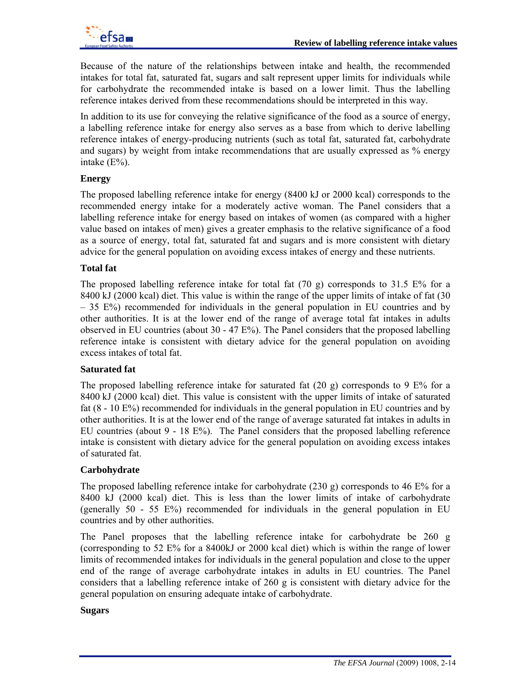

Because of the nature of the relationships between intake and health, the recommended intakes for total fat, saturated fat, sugars and salt represent upper limits for individuals while for carbohydrate the recommended intake is based on a lower limit. Thus the labelling reference intakes derived from these recommendations should be interpreted in this way.

In addition to its use for conveying the relative significance of the food as a source of energy, a labelling reference intake for energy also serves as a base from which to derive labelling reference intakes of energy-producing nutrients (such as total fat, saturated fat, carbohydrate and sugars) by weight from intake recommendations that are usually expressed as % energy intake (E%).

# **Energy**

The proposed labelling reference intake for energy (8400 kJ or 2000 kcal) corresponds to the recommended energy intake for a moderately active woman. The Panel considers that a labelling reference intake for energy based on intakes of women (as compared with a higher value based on intakes of men) gives a greater emphasis to the relative significance of a food as a source of energy, total fat, saturated fat and sugars and is more consistent with dietary advice for the general population on avoiding excess intakes of energy and these nutrients.

## **Total fat**

The proposed labelling reference intake for total fat (70 g) corresponds to 31.5 E% for a 8400 kJ (2000 kcal) diet. This value is within the range of the upper limits of intake of fat (30 – 35 E%) recommended for individuals in the general population in EU countries and by other authorities. It is at the lower end of the range of average total fat intakes in adults observed in EU countries (about 30 - 47 E%). The Panel considers that the proposed labelling reference intake is consistent with dietary advice for the general population on avoiding excess intakes of total fat.

## **Saturated fat**

The proposed labelling reference intake for saturated fat (20 g) corresponds to 9 E% for a 8400 kJ (2000 kcal) diet. This value is consistent with the upper limits of intake of saturated fat (8 - 10 E%) recommended for individuals in the general population in EU countries and by other authorities. It is at the lower end of the range of average saturated fat intakes in adults in EU countries (about 9 - 18 E%). The Panel considers that the proposed labelling reference intake is consistent with dietary advice for the general population on avoiding excess intakes of saturated fat.

## **Carbohydrate**

The proposed labelling reference intake for carbohydrate (230 g) corresponds to 46 E% for a 8400 kJ (2000 kcal) diet. This is less than the lower limits of intake of carbohydrate (generally 50 - 55 E%) recommended for individuals in the general population in EU countries and by other authorities.

The Panel proposes that the labelling reference intake for carbohydrate be 260 g (corresponding to 52 E% for a 8400kJ or 2000 kcal diet) which is within the range of lower limits of recommended intakes for individuals in the general population and close to the upper end of the range of average carbohydrate intakes in adults in EU countries. The Panel considers that a labelling reference intake of 260 g is consistent with dietary advice for the general population on ensuring adequate intake of carbohydrate.

## **Sugars**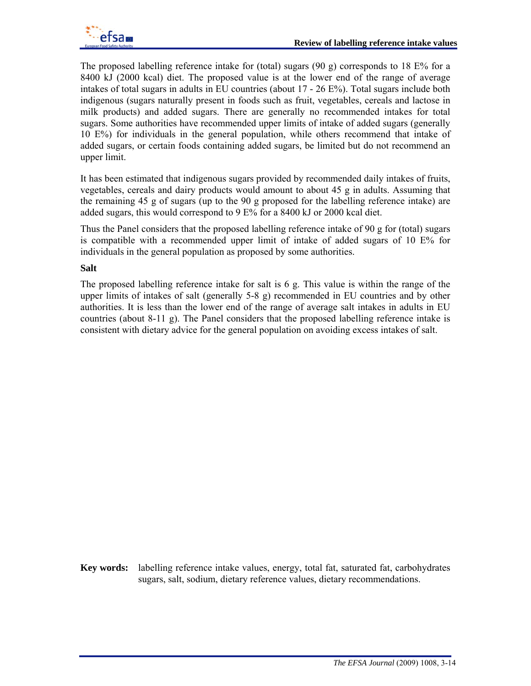The proposed labelling reference intake for (total) sugars (90 g) corresponds to 18  $E\%$  for a 8400 kJ (2000 kcal) diet. The proposed value is at the lower end of the range of average intakes of total sugars in adults in EU countries (about 17 - 26 E%). Total sugars include both indigenous (sugars naturally present in foods such as fruit, vegetables, cereals and lactose in milk products) and added sugars. There are generally no recommended intakes for total sugars. Some authorities have recommended upper limits of intake of added sugars (generally 10 E%) for individuals in the general population, while others recommend that intake of added sugars, or certain foods containing added sugars, be limited but do not recommend an upper limit.

It has been estimated that indigenous sugars provided by recommended daily intakes of fruits, vegetables, cereals and dairy products would amount to about 45 g in adults. Assuming that the remaining 45 g of sugars (up to the 90 g proposed for the labelling reference intake) are added sugars, this would correspond to 9 E% for a 8400 kJ or 2000 kcal diet.

Thus the Panel considers that the proposed labelling reference intake of 90 g for (total) sugars is compatible with a recommended upper limit of intake of added sugars of 10 E% for individuals in the general population as proposed by some authorities.

**Salt** 

The proposed labelling reference intake for salt is 6 g. This value is within the range of the upper limits of intakes of salt (generally 5-8 g) recommended in EU countries and by other authorities. It is less than the lower end of the range of average salt intakes in adults in EU countries (about 8-11 g). The Panel considers that the proposed labelling reference intake is consistent with dietary advice for the general population on avoiding excess intakes of salt.

**Key words:** labelling reference intake values, energy, total fat, saturated fat, carbohydrates sugars, salt, sodium, dietary reference values, dietary recommendations.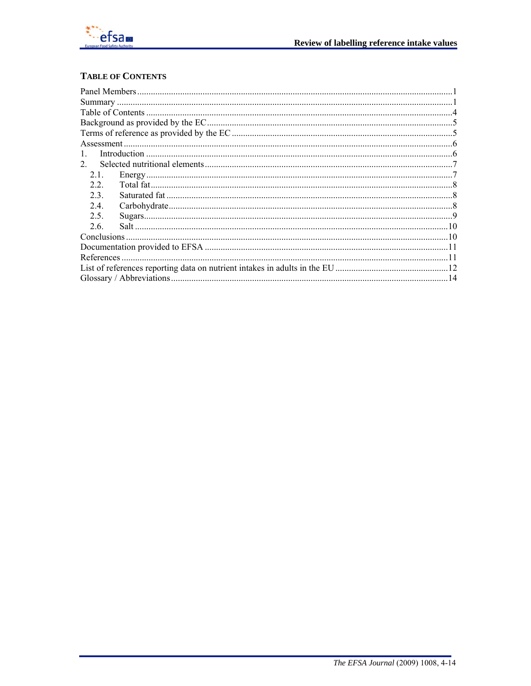

# **TABLE OF CONTENTS**

| $\mathbf{1}$   |  |  |  |  |
|----------------|--|--|--|--|
| 2 <sub>1</sub> |  |  |  |  |
| 2.1.           |  |  |  |  |
| 2.2.           |  |  |  |  |
| 2.3.           |  |  |  |  |
| 2.4.           |  |  |  |  |
| 2.5.           |  |  |  |  |
| 2.6.           |  |  |  |  |
|                |  |  |  |  |
|                |  |  |  |  |
|                |  |  |  |  |
|                |  |  |  |  |
|                |  |  |  |  |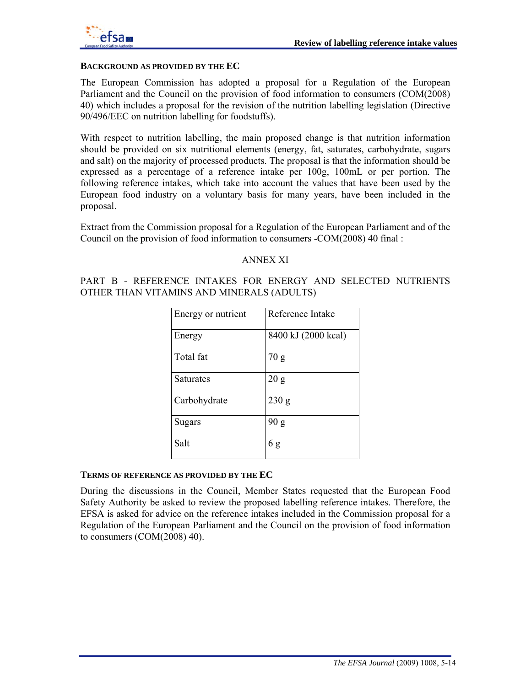

#### **BACKGROUND AS PROVIDED BY THE EC**

The European Commission has adopted a proposal for a Regulation of the European Parliament and the Council on the provision of food information to consumers (COM(2008) 40) which includes a proposal for the revision of the nutrition labelling legislation (Directive 90/496/EEC on nutrition labelling for foodstuffs).

With respect to nutrition labelling, the main proposed change is that nutrition information should be provided on six nutritional elements (energy, fat, saturates, carbohydrate, sugars and salt) on the majority of processed products. The proposal is that the information should be expressed as a percentage of a reference intake per 100g, 100mL or per portion. The following reference intakes, which take into account the values that have been used by the European food industry on a voluntary basis for many years, have been included in the proposal.

Extract from the Commission proposal for a Regulation of the European Parliament and of the Council on the provision of food information to consumers -COM(2008) 40 final :

#### ANNEX XI

PART B - REFERENCE INTAKES FOR ENERGY AND SELECTED NUTRIENTS OTHER THAN VITAMINS AND MINERALS (ADULTS)

| Energy or nutrient | Reference Intake    |
|--------------------|---------------------|
| Energy             | 8400 kJ (2000 kcal) |
| Total fat          | 70 g                |
| <b>Saturates</b>   | 20 <sub>g</sub>     |
| Carbohydrate       | 230 g               |
| <b>Sugars</b>      | 90 g                |
| Salt               | 6g                  |

#### **TERMS OF REFERENCE AS PROVIDED BY THE EC**

During the discussions in the Council, Member States requested that the European Food Safety Authority be asked to review the proposed labelling reference intakes. Therefore, the EFSA is asked for advice on the reference intakes included in the Commission proposal for a Regulation of the European Parliament and the Council on the provision of food information to consumers (COM(2008) 40).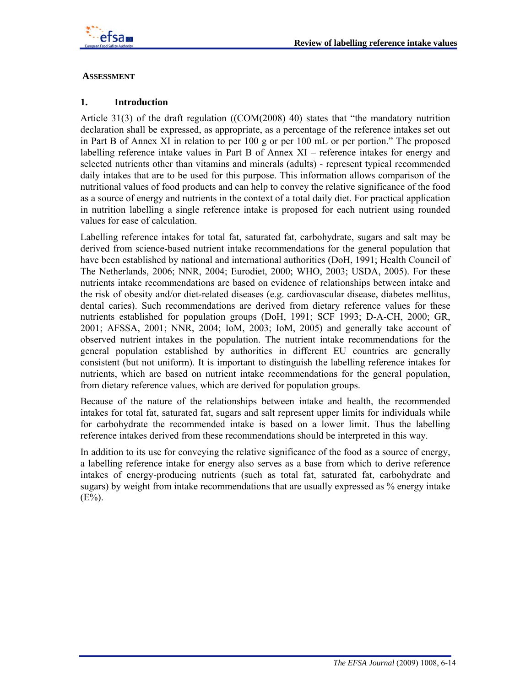

## **ASSESSMENT**

## **1. Introduction**

Article 31(3) of the draft regulation ((COM(2008) 40) states that "the mandatory nutrition declaration shall be expressed, as appropriate, as a percentage of the reference intakes set out in Part B of Annex XI in relation to per 100 g or per 100 mL or per portion." The proposed labelling reference intake values in Part B of Annex XI – reference intakes for energy and selected nutrients other than vitamins and minerals (adults) - represent typical recommended daily intakes that are to be used for this purpose. This information allows comparison of the nutritional values of food products and can help to convey the relative significance of the food as a source of energy and nutrients in the context of a total daily diet. For practical application in nutrition labelling a single reference intake is proposed for each nutrient using rounded values for ease of calculation.

Labelling reference intakes for total fat, saturated fat, carbohydrate, sugars and salt may be derived from science-based nutrient intake recommendations for the general population that have been established by national and international authorities (DoH, 1991; Health Council of The Netherlands, 2006; NNR, 2004; Eurodiet, 2000; WHO, 2003; USDA, 2005). For these nutrients intake recommendations are based on evidence of relationships between intake and the risk of obesity and/or diet-related diseases (e.g. cardiovascular disease, diabetes mellitus, dental caries). Such recommendations are derived from dietary reference values for these nutrients established for population groups (DoH, 1991; SCF 1993; D-A-CH, 2000; GR, 2001; AFSSA, 2001; NNR, 2004; IoM, 2003; IoM, 2005) and generally take account of observed nutrient intakes in the population. The nutrient intake recommendations for the general population established by authorities in different EU countries are generally consistent (but not uniform). It is important to distinguish the labelling reference intakes for nutrients, which are based on nutrient intake recommendations for the general population, from dietary reference values, which are derived for population groups.

Because of the nature of the relationships between intake and health, the recommended intakes for total fat, saturated fat, sugars and salt represent upper limits for individuals while for carbohydrate the recommended intake is based on a lower limit. Thus the labelling reference intakes derived from these recommendations should be interpreted in this way.

In addition to its use for conveying the relative significance of the food as a source of energy, a labelling reference intake for energy also serves as a base from which to derive reference intakes of energy-producing nutrients (such as total fat, saturated fat, carbohydrate and sugars) by weight from intake recommendations that are usually expressed as % energy intake  $(E\%)$ .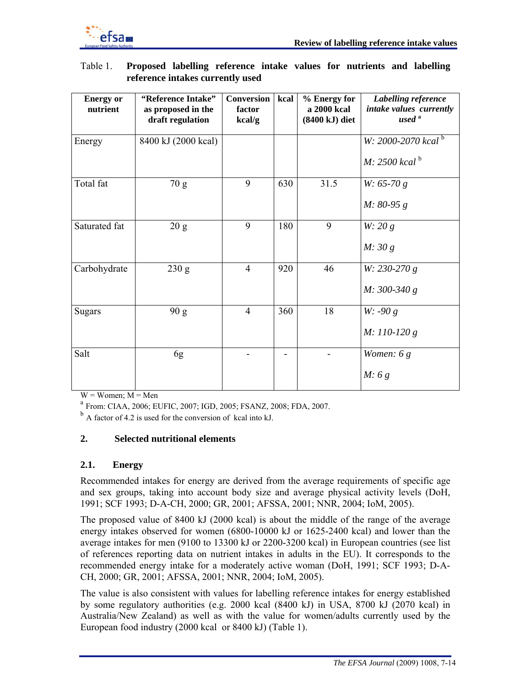

# Table 1. **Proposed labelling reference intake values for nutrients and labelling reference intakes currently used**

| <b>Energy</b> or<br>nutrient | "Reference Intake"<br>as proposed in the<br>draft regulation | <b>Conversion</b><br>factor<br>kcal/g | kcal | % Energy for<br>a 2000 kcal<br>(8400 kJ) diet | Labelling reference<br>intake values currently<br>used <sup>a</sup> |
|------------------------------|--------------------------------------------------------------|---------------------------------------|------|-----------------------------------------------|---------------------------------------------------------------------|
| Energy                       | 8400 kJ (2000 kcal)                                          |                                       |      |                                               | W: 2000-2070 kcal <sup>b</sup><br>$M: 2500$ kcal <sup>b</sup>       |
| Total fat                    | 70 g                                                         | 9                                     | 630  | 31.5                                          | $W: 65-70 g$<br>$M: 80-95 g$                                        |
| Saturated fat                | 20 g                                                         | 9                                     | 180  | 9                                             | W: 20 g<br>M: 30 g                                                  |
| Carbohydrate                 | 230 g                                                        | $\overline{4}$                        | 920  | 46                                            | $W: 230-270 g$<br>$M: 300-340 g$                                    |
| <b>Sugars</b>                | 90 g                                                         | $\overline{4}$                        | 360  | 18                                            | $W: -90 g$<br>$M: 110-120 g$                                        |
| Salt                         | 6g                                                           |                                       |      |                                               | Women: $6g$<br>M: 6g                                                |

 $W =$  Women;  $M =$  Men

<sup>a</sup> From: CIAA, 2006; EUFIC, 2007; IGD, 2005; FSANZ, 2008; FDA, 2007.

 $<sup>b</sup>$  A factor of 4.2 is used for the conversion of kcal into kJ.</sup>

## **2. Selected nutritional elements**

## **2.1. Energy**

Recommended intakes for energy are derived from the average requirements of specific age and sex groups, taking into account body size and average physical activity levels (DoH, 1991; SCF 1993; D-A-CH, 2000; GR, 2001; AFSSA, 2001; NNR, 2004; IoM, 2005).

The proposed value of 8400 kJ (2000 kcal) is about the middle of the range of the average energy intakes observed for women (6800-10000 kJ or 1625-2400 kcal) and lower than the average intakes for men (9100 to 13300 kJ or 2200-3200 kcal) in European countries (see list of references reporting data on nutrient intakes in adults in the EU). It corresponds to the recommended energy intake for a moderately active woman (DoH, 1991; SCF 1993; D-A-CH, 2000; GR, 2001; AFSSA, 2001; NNR, 2004; IoM, 2005).

The value is also consistent with values for labelling reference intakes for energy established by some regulatory authorities (e.g. 2000 kcal (8400 kJ) in USA, 8700 kJ (2070 kcal) in Australia/New Zealand) as well as with the value for women/adults currently used by the European food industry (2000 kcal or 8400 kJ) (Table 1).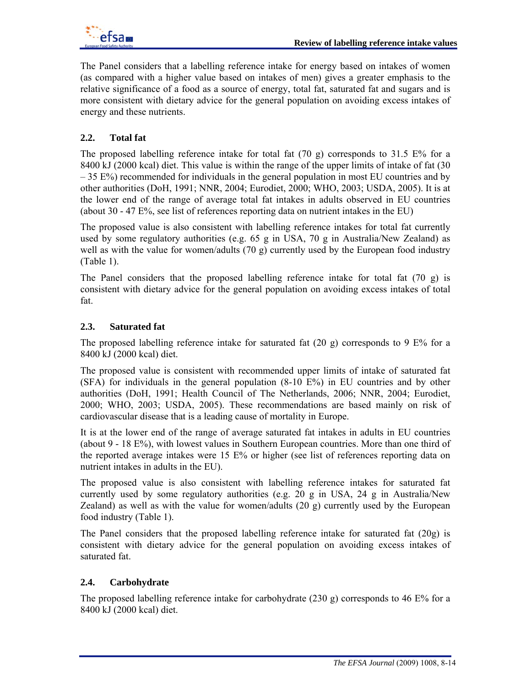The Panel considers that a labelling reference intake for energy based on intakes of women (as compared with a higher value based on intakes of men) gives a greater emphasis to the relative significance of a food as a source of energy, total fat, saturated fat and sugars and is more consistent with dietary advice for the general population on avoiding excess intakes of energy and these nutrients.

# **2.2. Total fat**

The proposed labelling reference intake for total fat  $(70 \text{ g})$  corresponds to 31.5 E% for a 8400 kJ (2000 kcal) diet. This value is within the range of the upper limits of intake of fat (30 – 35 E%) recommended for individuals in the general population in most EU countries and by other authorities (DoH, 1991; NNR, 2004; Eurodiet, 2000; WHO, 2003; USDA, 2005). It is at the lower end of the range of average total fat intakes in adults observed in EU countries (about 30 - 47 E%, see list of references reporting data on nutrient intakes in the EU)

The proposed value is also consistent with labelling reference intakes for total fat currently used by some regulatory authorities (e.g. 65 g in USA, 70 g in Australia/New Zealand) as well as with the value for women/adults (70 g) currently used by the European food industry (Table 1).

The Panel considers that the proposed labelling reference intake for total fat (70 g) is consistent with dietary advice for the general population on avoiding excess intakes of total fat.

# **2.3. Saturated fat**

The proposed labelling reference intake for saturated fat (20 g) corresponds to 9 E% for a 8400 kJ (2000 kcal) diet.

The proposed value is consistent with recommended upper limits of intake of saturated fat (SFA) for individuals in the general population (8-10 E%) in EU countries and by other authorities (DoH, 1991; Health Council of The Netherlands, 2006; NNR, 2004; Eurodiet, 2000; WHO, 2003; USDA, 2005). These recommendations are based mainly on risk of cardiovascular disease that is a leading cause of mortality in Europe.

It is at the lower end of the range of average saturated fat intakes in adults in EU countries (about 9 - 18 E%), with lowest values in Southern European countries. More than one third of the reported average intakes were 15 E% or higher (see list of references reporting data on nutrient intakes in adults in the EU).

The proposed value is also consistent with labelling reference intakes for saturated fat currently used by some regulatory authorities (e.g. 20 g in USA, 24 g in Australia/New Zealand) as well as with the value for women/adults  $(20 \text{ g})$  currently used by the European food industry (Table 1).

The Panel considers that the proposed labelling reference intake for saturated fat (20g) is consistent with dietary advice for the general population on avoiding excess intakes of saturated fat.

## **2.4. Carbohydrate**

The proposed labelling reference intake for carbohydrate (230 g) corresponds to 46  $E\%$  for a 8400 kJ (2000 kcal) diet.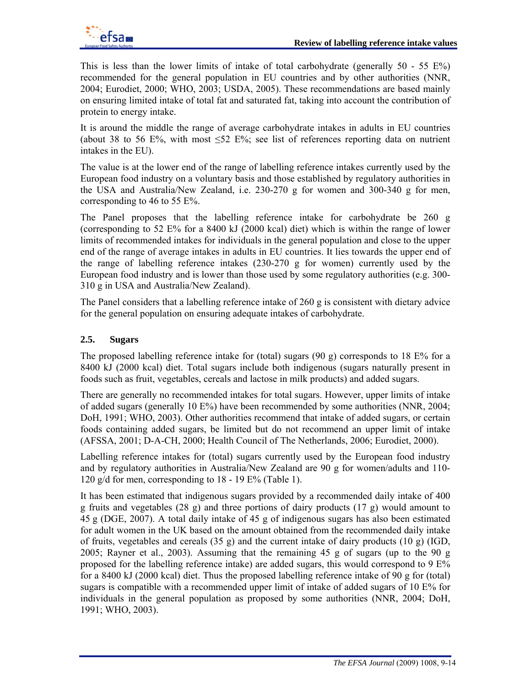This is less than the lower limits of intake of total carbohydrate (generally 50 - 55 E%) recommended for the general population in EU countries and by other authorities (NNR, 2004; Eurodiet, 2000; WHO, 2003; USDA, 2005). These recommendations are based mainly on ensuring limited intake of total fat and saturated fat, taking into account the contribution of protein to energy intake.

It is around the middle the range of average carbohydrate intakes in adults in EU countries (about 38 to 56 E%, with most  $\leq 52$  E%; see list of references reporting data on nutrient intakes in the EU).

The value is at the lower end of the range of labelling reference intakes currently used by the European food industry on a voluntary basis and those established by regulatory authorities in the USA and Australia/New Zealand, i.e. 230-270 g for women and 300-340 g for men, corresponding to 46 to 55 E%.

The Panel proposes that the labelling reference intake for carbohydrate be 260 g (corresponding to 52 E% for a 8400 kJ (2000 kcal) diet) which is within the range of lower limits of recommended intakes for individuals in the general population and close to the upper end of the range of average intakes in adults in EU countries. It lies towards the upper end of the range of labelling reference intakes (230-270 g for women) currently used by the European food industry and is lower than those used by some regulatory authorities (e.g. 300- 310 g in USA and Australia/New Zealand).

The Panel considers that a labelling reference intake of 260 g is consistent with dietary advice for the general population on ensuring adequate intakes of carbohydrate.

# **2.5. Sugars**

The proposed labelling reference intake for (total) sugars (90 g) corresponds to 18 E% for a 8400 kJ (2000 kcal) diet. Total sugars include both indigenous (sugars naturally present in foods such as fruit, vegetables, cereals and lactose in milk products) and added sugars.

There are generally no recommended intakes for total sugars. However, upper limits of intake of added sugars (generally 10 E%) have been recommended by some authorities (NNR, 2004; DoH, 1991; WHO, 2003). Other authorities recommend that intake of added sugars, or certain foods containing added sugars, be limited but do not recommend an upper limit of intake (AFSSA, 2001; D-A-CH, 2000; Health Council of The Netherlands, 2006; Eurodiet, 2000).

Labelling reference intakes for (total) sugars currently used by the European food industry and by regulatory authorities in Australia/New Zealand are 90 g for women/adults and 110- 120 g/d for men, corresponding to 18 - 19 E% (Table 1).

It has been estimated that indigenous sugars provided by a recommended daily intake of 400 g fruits and vegetables (28 g) and three portions of dairy products (17 g) would amount to 45 g (DGE, 2007). A total daily intake of 45 g of indigenous sugars has also been estimated for adult women in the UK based on the amount obtained from the recommended daily intake of fruits, vegetables and cereals  $(35 \text{ g})$  and the current intake of dairy products  $(10 \text{ g})$  (IGD, 2005; Rayner et al., 2003). Assuming that the remaining 45 g of sugars (up to the 90 g proposed for the labelling reference intake) are added sugars, this would correspond to 9  $E\%$ for a 8400 kJ (2000 kcal) diet. Thus the proposed labelling reference intake of 90 g for (total) sugars is compatible with a recommended upper limit of intake of added sugars of 10 E% for individuals in the general population as proposed by some authorities (NNR, 2004; DoH, 1991; WHO, 2003).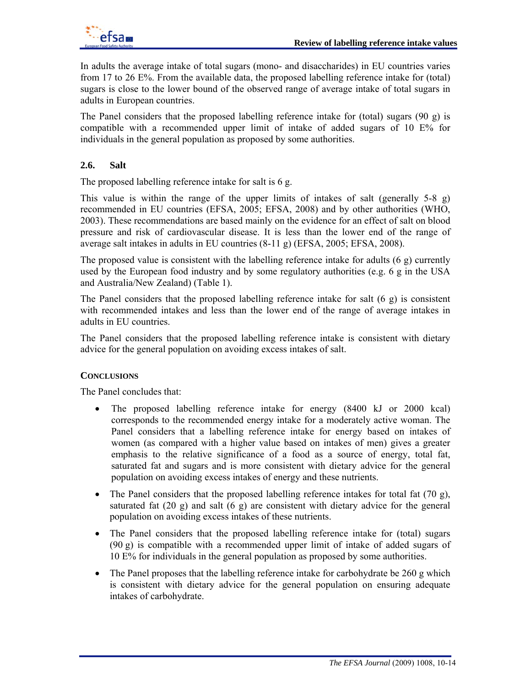In adults the average intake of total sugars (mono- and disaccharides) in EU countries varies from 17 to 26 E%. From the available data, the proposed labelling reference intake for (total) sugars is close to the lower bound of the observed range of average intake of total sugars in adults in European countries.

The Panel considers that the proposed labelling reference intake for (total) sugars (90 g) is compatible with a recommended upper limit of intake of added sugars of 10 E% for individuals in the general population as proposed by some authorities.

# **2.6. Salt**

The proposed labelling reference intake for salt is 6 g.

This value is within the range of the upper limits of intakes of salt (generally 5-8 g) recommended in EU countries (EFSA, 2005; EFSA, 2008) and by other authorities (WHO, 2003). These recommendations are based mainly on the evidence for an effect of salt on blood pressure and risk of cardiovascular disease. It is less than the lower end of the range of average salt intakes in adults in EU countries (8-11 g) (EFSA, 2005; EFSA, 2008).

The proposed value is consistent with the labelling reference intake for adults  $(6 \text{ g})$  currently used by the European food industry and by some regulatory authorities (e.g. 6 g in the USA and Australia/New Zealand) (Table 1).

The Panel considers that the proposed labelling reference intake for salt (6 g) is consistent with recommended intakes and less than the lower end of the range of average intakes in adults in EU countries.

The Panel considers that the proposed labelling reference intake is consistent with dietary advice for the general population on avoiding excess intakes of salt.

## **CONCLUSIONS**

The Panel concludes that:

- The proposed labelling reference intake for energy (8400 kJ or 2000 kcal) corresponds to the recommended energy intake for a moderately active woman. The Panel considers that a labelling reference intake for energy based on intakes of women (as compared with a higher value based on intakes of men) gives a greater emphasis to the relative significance of a food as a source of energy, total fat, saturated fat and sugars and is more consistent with dietary advice for the general population on avoiding excess intakes of energy and these nutrients.
- The Panel considers that the proposed labelling reference intakes for total fat (70 g), saturated fat  $(20 \text{ g})$  and salt  $(6 \text{ g})$  are consistent with dietary advice for the general population on avoiding excess intakes of these nutrients.
- The Panel considers that the proposed labelling reference intake for (total) sugars (90 g) is compatible with a recommended upper limit of intake of added sugars of 10 E% for individuals in the general population as proposed by some authorities.
- The Panel proposes that the labelling reference intake for carbohydrate be 260 g which is consistent with dietary advice for the general population on ensuring adequate intakes of carbohydrate.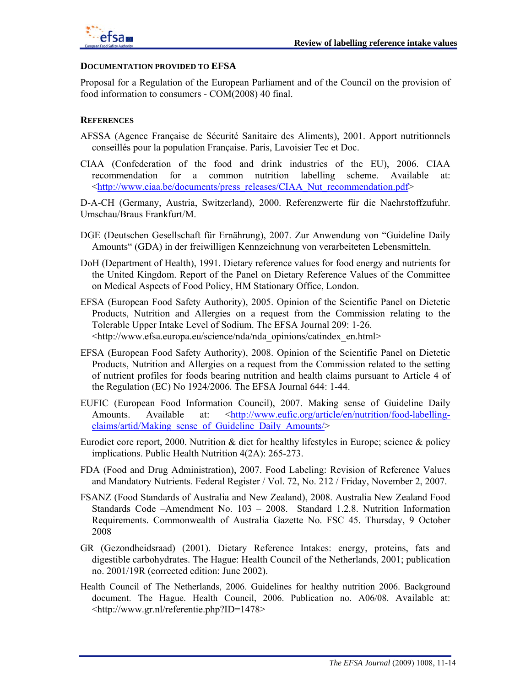

#### **DOCUMENTATION PROVIDED TO EFSA**

Proposal for a Regulation of the European Parliament and of the Council on the provision of food information to consumers - COM(2008) 40 final.

#### **REFERENCES**

- AFSSA (Agence Française de Sécurité Sanitaire des Aliments), 2001. Apport nutritionnels conseillés pour la population Française. Paris, Lavoisier Tec et Doc.
- CIAA (Confederation of the food and drink industries of the EU), 2006. CIAA recommendation for a common nutrition labelling scheme. Available at: <http://www.ciaa.be/documents/press\_releases/CIAA\_Nut\_recommendation.pdf>

D-A-CH (Germany, Austria, Switzerland), 2000. Referenzwerte für die Naehrstoffzufuhr. Umschau/Braus Frankfurt/M.

- DGE (Deutschen Gesellschaft für Ernährung), 2007. Zur Anwendung von "Guideline Daily Amounts" (GDA) in der freiwilligen Kennzeichnung von verarbeiteten Lebensmitteln.
- DoH (Department of Health), 1991. Dietary reference values for food energy and nutrients for the United Kingdom. Report of the Panel on Dietary Reference Values of the Committee on Medical Aspects of Food Policy, HM Stationary Office, London.
- EFSA (European Food Safety Authority), 2005. Opinion of the Scientific Panel on Dietetic Products, Nutrition and Allergies on a request from the Commission relating to the Tolerable Upper Intake Level of Sodium. The EFSA Journal 209: 1-26. <http://www.efsa.europa.eu/science/nda/nda\_opinions/catindex\_en.html>
- EFSA (European Food Safety Authority), 2008. Opinion of the Scientific Panel on Dietetic Products, Nutrition and Allergies on a request from the Commission related to the setting of nutrient profiles for foods bearing nutrition and health claims pursuant to Article 4 of the Regulation (EC) No 1924/2006*.* The EFSA Journal 644: 1-44.
- EUFIC (European Food Information Council), 2007. Making sense of Guideline Daily Amounts. Available at: <http://www.eufic.org/article/en/nutrition/food-labellingclaims/artid/Making\_sense\_of\_Guideline\_Daily\_Amounts/>
- Eurodiet core report, 2000. Nutrition & diet for healthy lifestyles in Europe; science & policy implications. Public Health Nutrition 4(2A): 265-273.
- FDA (Food and Drug Administration), 2007. Food Labeling: Revision of Reference Values and Mandatory Nutrients. Federal Register / Vol. 72, No. 212 / Friday, November 2, 2007.
- FSANZ (Food Standards of Australia and New Zealand), 2008. Australia New Zealand Food Standards Code –Amendment No. 103 – 2008. Standard 1.2.8. Nutrition Information Requirements. Commonwealth of Australia Gazette No. FSC 45. Thursday, 9 October 2008
- GR (Gezondheidsraad) (2001). Dietary Reference Intakes: energy, proteins, fats and digestible carbohydrates. The Hague: Health Council of the Netherlands, 2001; publication no. 2001/19R (corrected edition: June 2002).
- Health Council of The Netherlands, 2006. Guidelines for healthy nutrition 2006. Background document. The Hague. Health Council, 2006. Publication no. A06/08. Available at: <http://www.gr.nl/referentie.php?ID=1478>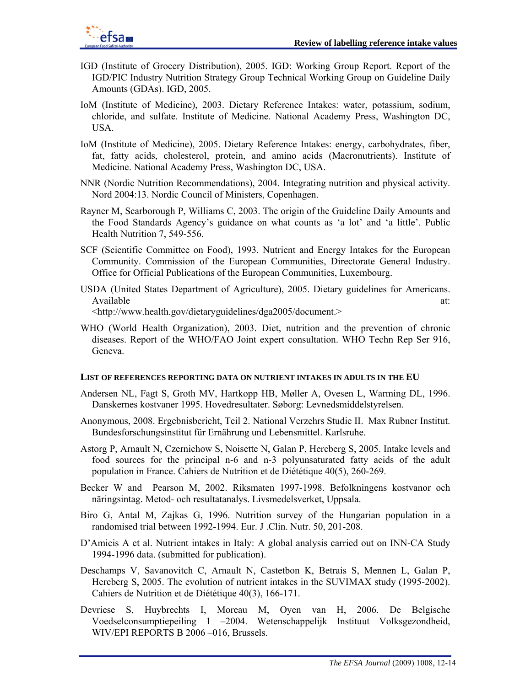

- IGD (Institute of Grocery Distribution), 2005. IGD: Working Group Report. Report of the IGD/PIC Industry Nutrition Strategy Group Technical Working Group on Guideline Daily Amounts (GDAs). IGD, 2005.
- IoM (Institute of Medicine), 2003. Dietary Reference Intakes: water, potassium, sodium, chloride, and sulfate. Institute of Medicine. National Academy Press, Washington DC, USA.
- IoM (Institute of Medicine), 2005. Dietary Reference Intakes: energy, carbohydrates, fiber, fat, fatty acids, cholesterol, protein, and amino acids (Macronutrients). Institute of Medicine. National Academy Press, Washington DC, USA.
- NNR (Nordic Nutrition Recommendations), 2004. Integrating nutrition and physical activity. Nord 2004:13. Nordic Council of Ministers, Copenhagen.
- Rayner M, Scarborough P, Williams C, 2003. The origin of the Guideline Daily Amounts and the Food Standards Agency's guidance on what counts as 'a lot' and 'a little'. Public Health Nutrition 7, 549-556.
- SCF (Scientific Committee on Food), 1993. Nutrient and Energy Intakes for the European Community. Commission of the European Communities, Directorate General Industry. Office for Official Publications of the European Communities, Luxembourg.
- USDA (United States Department of Agriculture), 2005. Dietary guidelines for Americans. Available at:  $\overline{a}$  at:  $\overline{a}$  at:  $\overline{a}$  at:  $\overline{a}$  at:  $\overline{a}$  at:  $\overline{a}$ <http://www.health.gov/dietaryguidelines/dga2005/document.>
- WHO (World Health Organization), 2003. Diet, nutrition and the prevention of chronic diseases. Report of the WHO/FAO Joint expert consultation. WHO Techn Rep Ser 916, Geneva.

#### **LIST OF REFERENCES REPORTING DATA ON NUTRIENT INTAKES IN ADULTS IN THE EU**

- Andersen NL, Fagt S, Groth MV, Hartkopp HB, Møller A, Ovesen L, Warming DL, 1996. Danskernes kostvaner 1995. Hovedresultater. Søborg: Levnedsmiddelstyrelsen.
- Anonymous, 2008. Ergebnisbericht, Teil 2. National Verzehrs Studie II. Max Rubner Institut. Bundesforschungsinstitut für Ernährung und Lebensmittel. Karlsruhe.
- Astorg P, Arnault N, Czernichow S, Noisette N, Galan P, Hercberg S, 2005. Intake levels and food sources for the principal n-6 and n-3 polyunsaturated fatty acids of the adult population in France. Cahiers de Nutrition et de Diététique 40(5), 260-269.
- Becker W and Pearson M, 2002. Riksmaten 1997-1998. Befolkningens kostvanor och näringsintag. Metod- och resultatanalys. Livsmedelsverket, Uppsala.
- Biro G, Antal M, Zajkas G, 1996. Nutrition survey of the Hungarian population in a randomised trial between 1992-1994. Eur. J .Clin. Nutr. 50, 201-208.
- D'Amicis A et al. Nutrient intakes in Italy: A global analysis carried out on INN-CA Study 1994-1996 data. (submitted for publication).
- Deschamps V, Savanovitch C, Arnault N, Castetbon K, Betrais S, Mennen L, Galan P, Hercberg S, 2005. The evolution of nutrient intakes in the SUVIMAX study (1995-2002). Cahiers de Nutrition et de Diététique 40(3), 166-171.
- Devriese S, Huybrechts I, Moreau M, Oyen van H, 2006. De Belgische Voedselconsumptiepeiling 1 –2004. Wetenschappelijk Instituut Volksgezondheid, WIV/EPI REPORTS B 2006 –016, Brussels.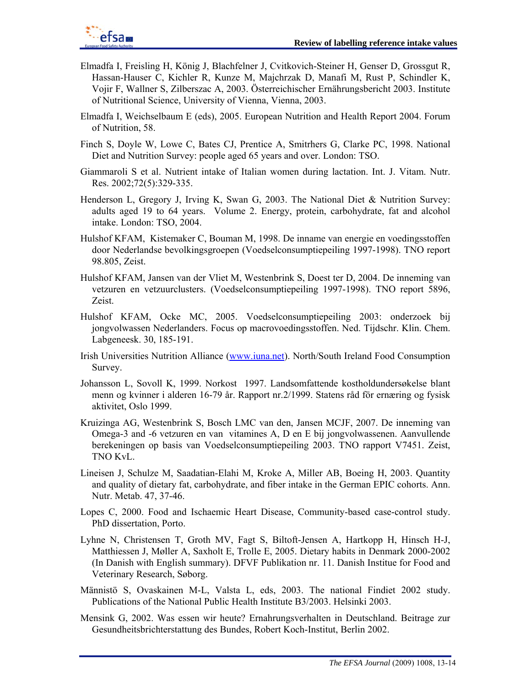

- Elmadfa I, Freisling H, König J, Blachfelner J, Cvitkovich-Steiner H, Genser D, Grossgut R, Hassan-Hauser C, Kichler R, Kunze M, Majchrzak D, Manafi M, Rust P, Schindler K, Vojir F, Wallner S, Zilberszac A, 2003. Österreichischer Ernährungsbericht 2003. Institute of Nutritional Science, University of Vienna, Vienna, 2003.
- Elmadfa I, Weichselbaum E (eds), 2005. European Nutrition and Health Report 2004. Forum of Nutrition, 58.
- Finch S, Doyle W, Lowe C, Bates CJ, Prentice A, Smitrhers G, Clarke PC, 1998. National Diet and Nutrition Survey: people aged 65 years and over. London: TSO.
- Giammaroli S et al. Nutrient intake of Italian women during lactation. Int. J. Vitam. Nutr. Res. 2002;72(5):329-335.
- Henderson L, Gregory J, Irving K, Swan G, 2003. The National Diet & Nutrition Survey: adults aged 19 to 64 years. Volume 2. Energy, protein, carbohydrate, fat and alcohol intake. London: TSO, 2004.
- Hulshof KFAM, Kistemaker C, Bouman M, 1998. De inname van energie en voedingsstoffen door Nederlandse bevolkingsgroepen (Voedselconsumptiepeiling 1997-1998). TNO report 98.805, Zeist.
- Hulshof KFAM, Jansen van der Vliet M, Westenbrink S, Doest ter D, 2004. De inneming van vetzuren en vetzuurclusters. (Voedselconsumptiepeiling 1997-1998). TNO report 5896, Zeist.
- Hulshof KFAM, Ocke MC, 2005. Voedselconsumptiepeiling 2003: onderzoek bij jongvolwassen Nederlanders. Focus op macrovoedingsstoffen. Ned. Tijdschr. Klin. Chem. Labgeneesk. 30, 185-191.
- Irish Universities Nutrition Alliance (www.iuna.net). North/South Ireland Food Consumption Survey.
- Johansson L, Sovoll K, 1999. Norkost 1997. Landsomfattende kostholdundersøkelse blant menn og kvinner i alderen 16-79 år. Rapport nr.2/1999. Statens råd för ernæring og fysisk aktivitet, Oslo 1999.
- Kruizinga AG, Westenbrink S, Bosch LMC van den, Jansen MCJF, 2007. De inneming van Omega-3 and -6 vetzuren en van vitamines A, D en E bij jongvolwassenen. Aanvullende berekeningen op basis van Voedselconsumptiepeiling 2003. TNO rapport V7451. Zeist, TNO KvL.
- Lineisen J, Schulze M, Saadatian-Elahi M, Kroke A, Miller AB, Boeing H, 2003. Quantity and quality of dietary fat, carbohydrate, and fiber intake in the German EPIC cohorts. Ann. Nutr. Metab. 47, 37-46.
- Lopes C, 2000. Food and Ischaemic Heart Disease, Community-based case-control study. PhD dissertation, Porto.
- Lyhne N, Christensen T, Groth MV, Fagt S, Biltoft-Jensen A, Hartkopp H, Hinsch H-J, Matthiessen J, Møller A, Saxholt E, Trolle E, 2005. Dietary habits in Denmark 2000-2002 (In Danish with English summary). DFVF Publikation nr. 11. Danish Institue for Food and Veterinary Research, Søborg.
- Männistö S, Ovaskainen M-L, Valsta L, eds, 2003. The national Findiet 2002 study. Publications of the National Public Health Institute B3/2003. Helsinki 2003.
- Mensink G, 2002. Was essen wir heute? Ernahrungsverhalten in Deutschland. Beitrage zur Gesundheitsbrichterstattung des Bundes, Robert Koch-Institut, Berlin 2002.